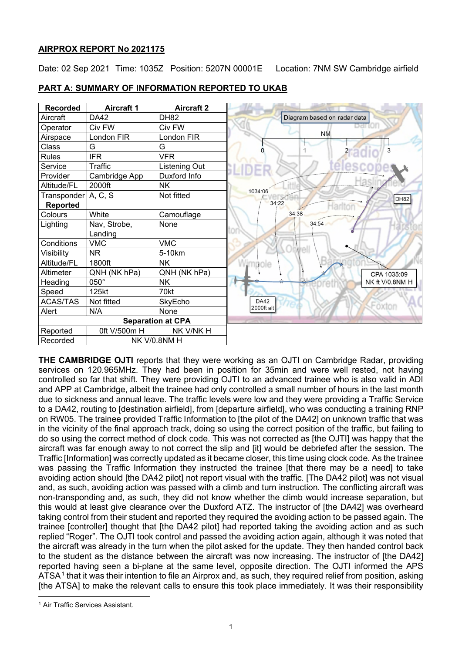### **AIRPROX REPORT No 2021175**

Date: 02 Sep 2021 Time: 1035Z Position: 5207N 00001E Location: 7NM SW Cambridge airfield



**PART A: SUMMARY OF INFORMATION REPORTED TO UKAB**

**THE CAMBRIDGE OJTI** reports that they were working as an OJTI on Cambridge Radar, providing services on 120.965MHz. They had been in position for 35min and were well rested, not having controlled so far that shift. They were providing OJTI to an advanced trainee who is also valid in ADI and APP at Cambridge, albeit the trainee had only controlled a small number of hours in the last month due to sickness and annual leave. The traffic levels were low and they were providing a Traffic Service to a DA42, routing to [destination airfield], from [departure airfield], who was conducting a training RNP on RW05. The trainee provided Traffic Information to [the pilot of the DA42] on unknown traffic that was in the vicinity of the final approach track, doing so using the correct position of the traffic, but failing to do so using the correct method of clock code. This was not corrected as [the OJTI] was happy that the aircraft was far enough away to not correct the slip and [it] would be debriefed after the session. The Traffic [Information] was correctly updated as it became closer, this time using clock code. As the trainee was passing the Traffic Information they instructed the trainee [that there may be a need] to take avoiding action should [the DA42 pilot] not report visual with the traffic. [The DA42 pilot] was not visual and, as such, avoiding action was passed with a climb and turn instruction. The conflicting aircraft was non-transponding and, as such, they did not know whether the climb would increase separation, but this would at least give clearance over the Duxford ATZ. The instructor of [the DA42] was overheard taking control from their student and reported they required the avoiding action to be passed again. The trainee [controller] thought that [the DA42 pilot] had reported taking the avoiding action and as such replied "Roger". The OJTI took control and passed the avoiding action again, although it was noted that the aircraft was already in the turn when the pilot asked for the update. They then handed control back to the student as the distance between the aircraft was now increasing. The instructor of [the DA42] reported having seen a bi-plane at the same level, opposite direction. The OJTI informed the APS ATSA<sup>[1](#page-0-0)</sup> that it was their intention to file an Airprox and, as such, they required relief from position, asking [the ATSA] to make the relevant calls to ensure this took place immediately. It was their responsibility

<span id="page-0-0"></span><sup>&</sup>lt;sup>1</sup> Air Traffic Services Assistant.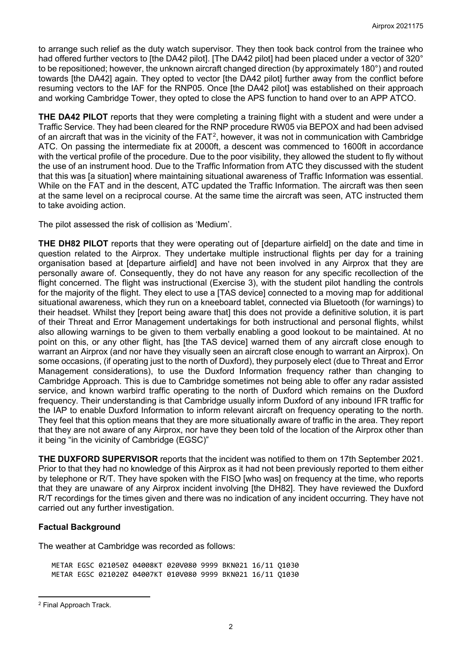to arrange such relief as the duty watch supervisor. They then took back control from the trainee who had offered further vectors to [the DA42 pilot]. [The DA42 pilot] had been placed under a vector of 320° to be repositioned; however, the unknown aircraft changed direction (by approximately 180°) and routed towards [the DA42] again. They opted to vector [the DA42 pilot] further away from the conflict before resuming vectors to the IAF for the RNP05. Once [the DA42 pilot] was established on their approach and working Cambridge Tower, they opted to close the APS function to hand over to an APP ATCO.

**THE DA42 PILOT** reports that they were completing a training flight with a student and were under a Traffic Service. They had been cleared for the RNP procedure RW05 via BEPOX and had been advised of an aircraft that was in the vicinity of the FAT<sup>[2](#page-1-0)</sup>, however, it was not in communication with Cambridge ATC. On passing the intermediate fix at 2000ft, a descent was commenced to 1600ft in accordance with the vertical profile of the procedure. Due to the poor visibility, they allowed the student to fly without the use of an instrument hood. Due to the Traffic Information from ATC they discussed with the student that this was [a situation] where maintaining situational awareness of Traffic Information was essential. While on the FAT and in the descent, ATC updated the Traffic Information. The aircraft was then seen at the same level on a reciprocal course. At the same time the aircraft was seen, ATC instructed them to take avoiding action.

The pilot assessed the risk of collision as 'Medium'.

**THE DH82 PILOT** reports that they were operating out of [departure airfield] on the date and time in question related to the Airprox. They undertake multiple instructional flights per day for a training organisation based at [departure airfield] and have not been involved in any Airprox that they are personally aware of. Consequently, they do not have any reason for any specific recollection of the flight concerned. The flight was instructional (Exercise 3), with the student pilot handling the controls for the majority of the flight. They elect to use a [TAS device] connected to a moving map for additional situational awareness, which they run on a kneeboard tablet, connected via Bluetooth (for warnings) to their headset. Whilst they [report being aware that] this does not provide a definitive solution, it is part of their Threat and Error Management undertakings for both instructional and personal flights, whilst also allowing warnings to be given to them verbally enabling a good lookout to be maintained. At no point on this, or any other flight, has [the TAS device] warned them of any aircraft close enough to warrant an Airprox (and nor have they visually seen an aircraft close enough to warrant an Airprox). On some occasions, (if operating just to the north of Duxford), they purposely elect (due to Threat and Error Management considerations), to use the Duxford Information frequency rather than changing to Cambridge Approach. This is due to Cambridge sometimes not being able to offer any radar assisted service, and known warbird traffic operating to the north of Duxford which remains on the Duxford frequency. Their understanding is that Cambridge usually inform Duxford of any inbound IFR traffic for the IAP to enable Duxford Information to inform relevant aircraft on frequency operating to the north. They feel that this option means that they are more situationally aware of traffic in the area. They report that they are not aware of any Airprox, nor have they been told of the location of the Airprox other than it being "in the vicinity of Cambridge (EGSC)"

**THE DUXFORD SUPERVISOR** reports that the incident was notified to them on 17th September 2021. Prior to that they had no knowledge of this Airprox as it had not been previously reported to them either by telephone or R/T. They have spoken with the FISO [who was] on frequency at the time, who reports that they are unaware of any Airprox incident involving [the DH82]. They have reviewed the Duxford R/T recordings for the times given and there was no indication of any incident occurring. They have not carried out any further investigation.

#### **Factual Background**

The weather at Cambridge was recorded as follows:

METAR EGSC 021050Z 04008KT 020V080 9999 BKN021 16/11 Q1030 METAR EGSC 021020Z 04007KT 010V080 9999 BKN021 16/11 Q1030

<span id="page-1-0"></span><sup>2</sup> Final Approach Track.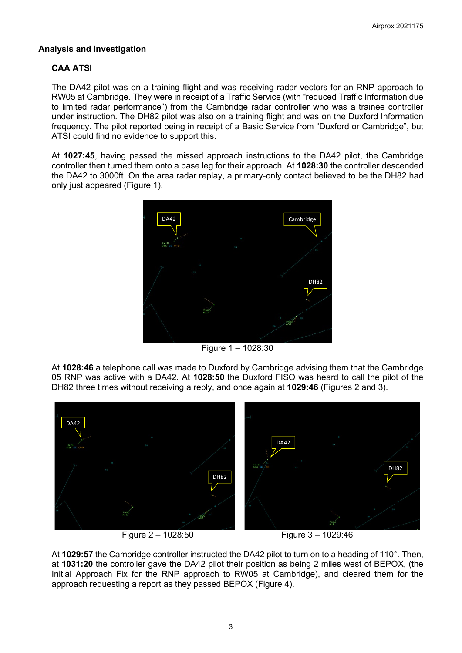#### **Analysis and Investigation**

## **CAA ATSI**

The DA42 pilot was on a training flight and was receiving radar vectors for an RNP approach to RW05 at Cambridge. They were in receipt of a Traffic Service (with "reduced Traffic Information due to limited radar performance") from the Cambridge radar controller who was a trainee controller under instruction. The DH82 pilot was also on a training flight and was on the Duxford Information frequency. The pilot reported being in receipt of a Basic Service from "Duxford or Cambridge", but ATSI could find no evidence to support this.

At **1027:45**, having passed the missed approach instructions to the DA42 pilot, the Cambridge controller then turned them onto a base leg for their approach. At **1028:30** the controller descended the DA42 to 3000ft. On the area radar replay, a primary-only contact believed to be the DH82 had only just appeared (Figure 1).



Figure 1 – 1028:30

At **1028:46** a telephone call was made to Duxford by Cambridge advising them that the Cambridge 05 RNP was active with a DA42. At **1028:50** the Duxford FISO was heard to call the pilot of the DH82 three times without receiving a reply, and once again at **1029:46** (Figures 2 and 3).



Figure 2 – 1028:50 Figure 3 – 1029:46

At **1029:57** the Cambridge controller instructed the DA42 pilot to turn on to a heading of 110°. Then, at **1031:20** the controller gave the DA42 pilot their position as being 2 miles west of BEPOX, (the Initial Approach Fix for the RNP approach to RW05 at Cambridge), and cleared them for the approach requesting a report as they passed BEPOX (Figure 4).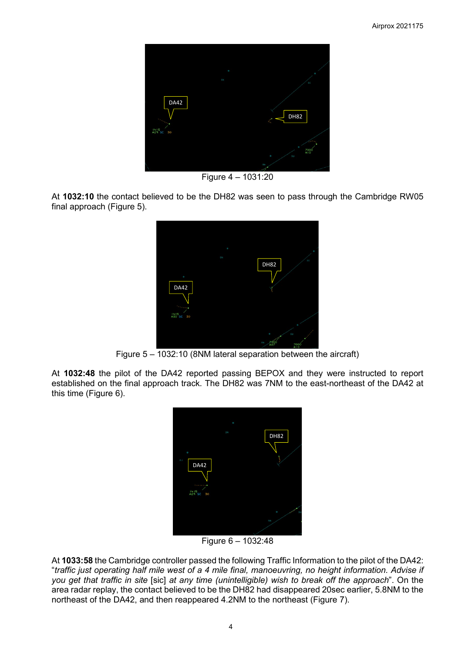

Figure 4 – 1031:20

At **1032:10** the contact believed to be the DH82 was seen to pass through the Cambridge RW05 final approach (Figure 5).



Figure 5 – 1032:10 (8NM lateral separation between the aircraft)

At **1032:48** the pilot of the DA42 reported passing BEPOX and they were instructed to report established on the final approach track. The DH82 was 7NM to the east-northeast of the DA42 at this time (Figure 6).



Figure 6 – 1032:48

At **1033:58** the Cambridge controller passed the following Traffic Information to the pilot of the DA42: "*traffic just operating half mile west of a 4 mile final, manoeuvring, no height information. Advise if you get that traffic in site* [sic] *at any time (unintelligible) wish to break off the approach*". On the area radar replay, the contact believed to be the DH82 had disappeared 20sec earlier, 5.8NM to the northeast of the DA42, and then reappeared 4.2NM to the northeast (Figure 7).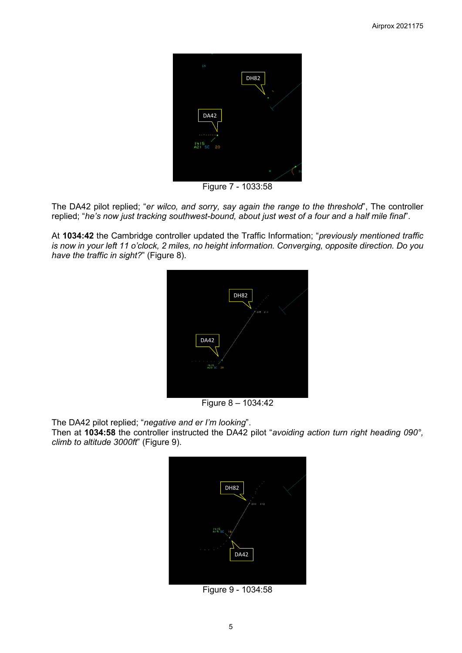

Figure 7 - 1033:58

The DA42 pilot replied; "*er wilco, and sorry, say again the range to the threshold*", The controller replied; "*he's now just tracking southwest-bound, about just west of a four and a half mile final*".

At **1034:42** the Cambridge controller updated the Traffic Information; "*previously mentioned traffic is now in your left 11 o'clock, 2 miles, no height information. Converging, opposite direction. Do you have the traffic in sight?*" (Figure 8).



Figure 8 – 1034:42

The DA42 pilot replied; "*negative and er I'm looking*".

Then at **1034:58** the controller instructed the DA42 pilot "*avoiding action turn right heading 090°, climb to altitude 3000ft*" (Figure 9).



Figure 9 - 1034:58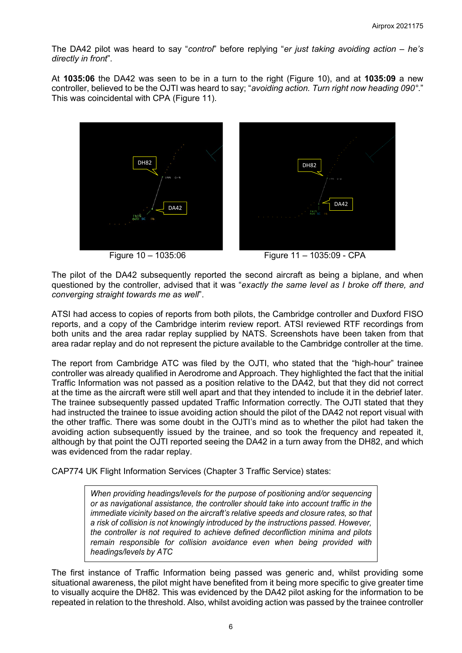The DA42 pilot was heard to say "*control*" before replying "*er just taking avoiding action – he's directly in front*".

At **1035:06** the DA42 was seen to be in a turn to the right (Figure 10), and at **1035:09** a new controller, believed to be the OJTI was heard to say; "*avoiding action. Turn right now heading 090°.*" This was coincidental with CPA (Figure 11).



Figure 10 – 1035:06 Figure 11 – 1035:09 - CPA

The pilot of the DA42 subsequently reported the second aircraft as being a biplane, and when questioned by the controller, advised that it was "*exactly the same level as I broke off there, and converging straight towards me as well*".

ATSI had access to copies of reports from both pilots, the Cambridge controller and Duxford FISO reports, and a copy of the Cambridge interim review report. ATSI reviewed RTF recordings from both units and the area radar replay supplied by NATS. Screenshots have been taken from that area radar replay and do not represent the picture available to the Cambridge controller at the time.

The report from Cambridge ATC was filed by the OJTI, who stated that the "high-hour" trainee controller was already qualified in Aerodrome and Approach. They highlighted the fact that the initial Traffic Information was not passed as a position relative to the DA42, but that they did not correct at the time as the aircraft were still well apart and that they intended to include it in the debrief later. The trainee subsequently passed updated Traffic Information correctly. The OJTI stated that they had instructed the trainee to issue avoiding action should the pilot of the DA42 not report visual with the other traffic. There was some doubt in the OJTI's mind as to whether the pilot had taken the avoiding action subsequently issued by the trainee, and so took the frequency and repeated it, although by that point the OJTI reported seeing the DA42 in a turn away from the DH82, and which was evidenced from the radar replay.

CAP774 UK Flight Information Services (Chapter 3 Traffic Service) states:

*When providing headings/levels for the purpose of positioning and/or sequencing or as navigational assistance, the controller should take into account traffic in the immediate vicinity based on the aircraft's relative speeds and closure rates, so that a risk of collision is not knowingly introduced by the instructions passed. However, the controller is not required to achieve defined deconfliction minima and pilots remain responsible for collision avoidance even when being provided with headings/levels by ATC*

 $\overline{a}$ The first instance of Traffic Information being passed was generic and, whilst providing some situational awareness, the pilot might have benefited from it being more specific to give greater time to visually acquire the DH82. This was evidenced by the DA42 pilot asking for the information to be repeated in relation to the threshold. Also, whilst avoiding action was passed by the trainee controller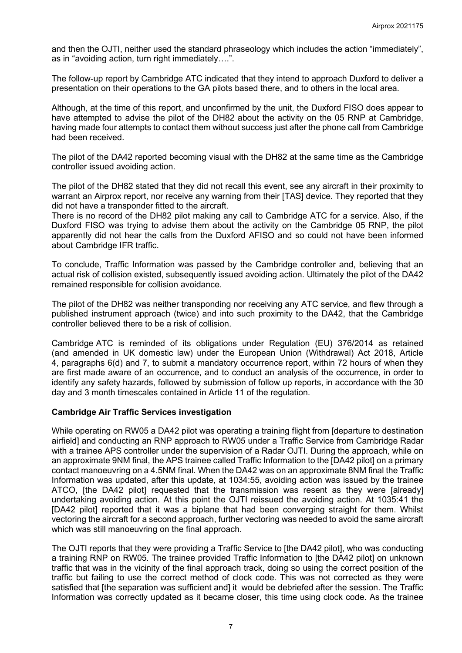and then the OJTI, neither used the standard phraseology which includes the action "immediately", as in "avoiding action, turn right immediately….".

The follow-up report by Cambridge ATC indicated that they intend to approach Duxford to deliver a presentation on their operations to the GA pilots based there, and to others in the local area.

Although, at the time of this report, and unconfirmed by the unit, the Duxford FISO does appear to have attempted to advise the pilot of the DH82 about the activity on the 05 RNP at Cambridge, having made four attempts to contact them without success just after the phone call from Cambridge had been received.

The pilot of the DA42 reported becoming visual with the DH82 at the same time as the Cambridge controller issued avoiding action.

The pilot of the DH82 stated that they did not recall this event, see any aircraft in their proximity to warrant an Airprox report, nor receive any warning from their [TAS] device. They reported that they did not have a transponder fitted to the aircraft.

There is no record of the DH82 pilot making any call to Cambridge ATC for a service. Also, if the Duxford FISO was trying to advise them about the activity on the Cambridge 05 RNP, the pilot apparently did not hear the calls from the Duxford AFISO and so could not have been informed about Cambridge IFR traffic.

To conclude, Traffic Information was passed by the Cambridge controller and, believing that an actual risk of collision existed, subsequently issued avoiding action. Ultimately the pilot of the DA42 remained responsible for collision avoidance.

The pilot of the DH82 was neither transponding nor receiving any ATC service, and flew through a published instrument approach (twice) and into such proximity to the DA42, that the Cambridge controller believed there to be a risk of collision.

Cambridge ATC is reminded of its obligations under Regulation (EU) 376/2014 as retained (and amended in UK domestic law) under the European Union (Withdrawal) Act 2018, Article 4, paragraphs  $6(d)$  and 7, to submit a mandatory occurrence report, within 72 hours of when they are first made aware of an occurrence, and to conduct an analysis of the occurrence, in order to identify any safety hazards, followed by submission of follow up reports, in accordance with the 30 day and 3 month timescales contained in Article 11 of the regulation.

#### **Cambridge Air Traffic Services investigation**

While operating on RW05 a DA42 pilot was operating a training flight from [departure to destination airfield] and conducting an RNP approach to RW05 under a Traffic Service from Cambridge Radar with a trainee APS controller under the supervision of a Radar OJTI. During the approach, while on an approximate 9NM final, the APS trainee called Traffic Information to the [DA42 pilot] on a primary contact manoeuvring on a 4.5NM final. When the DA42 was on an approximate 8NM final the Traffic Information was updated, after this update, at 1034:55, avoiding action was issued by the trainee ATCO, [the DA42 pilot] requested that the transmission was resent as they were [already] undertaking avoiding action. At this point the OJTI reissued the avoiding action. At 1035:41 the [DA42 pilot] reported that it was a biplane that had been converging straight for them. Whilst vectoring the aircraft for a second approach, further vectoring was needed to avoid the same aircraft which was still manoeuvring on the final approach.

The OJTI reports that they were providing a Traffic Service to [the DA42 pilot], who was conducting a training RNP on RW05. The trainee provided Traffic Information to [the DA42 pilot] on unknown traffic that was in the vicinity of the final approach track, doing so using the correct position of the traffic but failing to use the correct method of clock code. This was not corrected as they were satisfied that [the separation was sufficient and] it would be debriefed after the session. The Traffic Information was correctly updated as it became closer, this time using clock code. As the trainee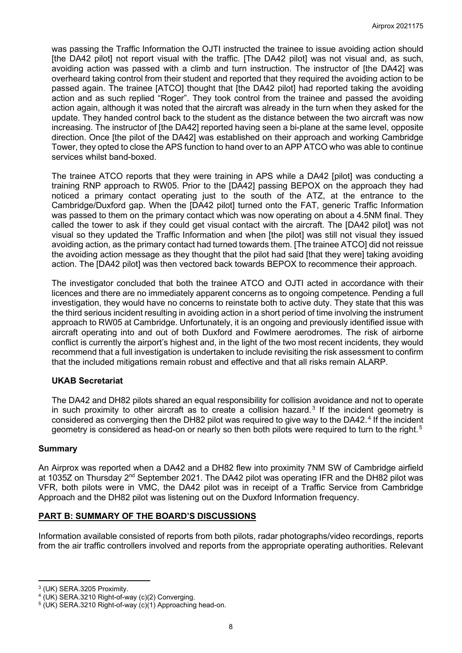was passing the Traffic Information the OJTI instructed the trainee to issue avoiding action should [the DA42 pilot] not report visual with the traffic. [The DA42 pilot] was not visual and, as such, avoiding action was passed with a climb and turn instruction. The instructor of [the DA42] was overheard taking control from their student and reported that they required the avoiding action to be passed again. The trainee [ATCO] thought that [the DA42 pilot] had reported taking the avoiding action and as such replied "Roger". They took control from the trainee and passed the avoiding action again, although it was noted that the aircraft was already in the turn when they asked for the update. They handed control back to the student as the distance between the two aircraft was now increasing. The instructor of [the DA42] reported having seen a bi-plane at the same level, opposite direction. Once [the pilot of the DA42] was established on their approach and working Cambridge Tower, they opted to close the APS function to hand over to an APP ATCO who was able to continue services whilst band-boxed.

The trainee ATCO reports that they were training in APS while a DA42 [pilot] was conducting a training RNP approach to RW05. Prior to the [DA42] passing BEPOX on the approach they had noticed a primary contact operating just to the south of the ATZ, at the entrance to the Cambridge/Duxford gap. When the [DA42 pilot] turned onto the FAT, generic Traffic Information was passed to them on the primary contact which was now operating on about a 4.5NM final. They called the tower to ask if they could get visual contact with the aircraft. The [DA42 pilot] was not visual so they updated the Traffic Information and when [the pilot] was still not visual they issued avoiding action, as the primary contact had turned towards them. [The trainee ATCO] did not reissue the avoiding action message as they thought that the pilot had said [that they were] taking avoiding action. The [DA42 pilot] was then vectored back towards BEPOX to recommence their approach.

The investigator concluded that both the trainee ATCO and OJTI acted in accordance with their licences and there are no immediately apparent concerns as to ongoing competence. Pending a full investigation, they would have no concerns to reinstate both to active duty. They state that this was the third serious incident resulting in avoiding action in a short period of time involving the instrument approach to RW05 at Cambridge. Unfortunately, it is an ongoing and previously identified issue with aircraft operating into and out of both Duxford and Fowlmere aerodromes. The risk of airborne conflict is currently the airport's highest and, in the light of the two most recent incidents, they would recommend that a full investigation is undertaken to include revisiting the risk assessment to confirm that the included mitigations remain robust and effective and that all risks remain ALARP.

#### **UKAB Secretariat**

The DA42 and DH82 pilots shared an equal responsibility for collision avoidance and not to operate in such proximity to other aircraft as to create a collision hazard.<sup>[3](#page-7-0)</sup> If the incident geometry is considered as converging then the DH82 pilot was required to give way to the DA[4](#page-7-1)2.<sup>4</sup> If the incident geometry is considered as head-on or nearly so then both pilots were required to turn to the right.<sup>[5](#page-7-2)</sup>

#### **Summary**

An Airprox was reported when a DA42 and a DH82 flew into proximity 7NM SW of Cambridge airfield at 1035Z on Thursday 2<sup>nd</sup> September 2021. The DA42 pilot was operating IFR and the DH82 pilot was VFR, both pilots were in VMC, the DA42 pilot was in receipt of a Traffic Service from Cambridge Approach and the DH82 pilot was listening out on the Duxford Information frequency.

#### **PART B: SUMMARY OF THE BOARD'S DISCUSSIONS**

Information available consisted of reports from both pilots, radar photographs/video recordings, reports from the air traffic controllers involved and reports from the appropriate operating authorities. Relevant

<span id="page-7-0"></span><sup>3</sup> (UK) SERA.3205 Proximity.

<span id="page-7-1"></span><sup>4</sup> (UK) SERA.3210 Right-of-way (c)(2) Converging.

<span id="page-7-2"></span> $5$  (UK) SERA.3210 Right-of-way (c)(1) Approaching head-on.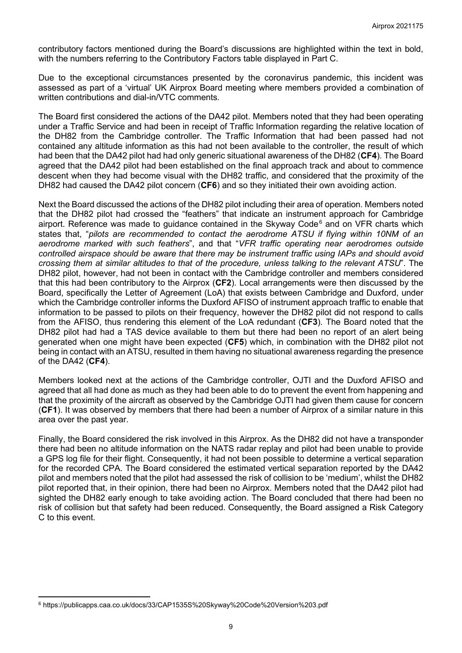contributory factors mentioned during the Board's discussions are highlighted within the text in bold, with the numbers referring to the Contributory Factors table displayed in Part C.

Due to the exceptional circumstances presented by the coronavirus pandemic, this incident was assessed as part of a 'virtual' UK Airprox Board meeting where members provided a combination of written contributions and dial-in/VTC comments.

The Board first considered the actions of the DA42 pilot. Members noted that they had been operating under a Traffic Service and had been in receipt of Traffic Information regarding the relative location of the DH82 from the Cambridge controller. The Traffic Information that had been passed had not contained any altitude information as this had not been available to the controller, the result of which had been that the DA42 pilot had had only generic situational awareness of the DH82 (**CF4**). The Board agreed that the DA42 pilot had been established on the final approach track and about to commence descent when they had become visual with the DH82 traffic, and considered that the proximity of the DH82 had caused the DA42 pilot concern (**CF6**) and so they initiated their own avoiding action.

Next the Board discussed the actions of the DH82 pilot including their area of operation. Members noted that the DH82 pilot had crossed the "feathers" that indicate an instrument approach for Cambridge airport. Reference was made to guidance contained in the Skyway Code $<sup>6</sup>$  $<sup>6</sup>$  $<sup>6</sup>$  and on VFR charts which</sup> states that, "*pilots are recommended to contact the aerodrome ATSU if flying within 10NM of an aerodrome marked with such feathers*", and that "*VFR traffic operating near aerodromes outside controlled airspace should be aware that there may be instrument traffic using IAPs and should avoid crossing them at similar altitudes to that of the procedure, unless talking to the relevant ATSU*". The DH82 pilot, however, had not been in contact with the Cambridge controller and members considered that this had been contributory to the Airprox (**CF2**). Local arrangements were then discussed by the Board, specifically the Letter of Agreement (LoA) that exists between Cambridge and Duxford, under which the Cambridge controller informs the Duxford AFISO of instrument approach traffic to enable that information to be passed to pilots on their frequency, however the DH82 pilot did not respond to calls from the AFISO, thus rendering this element of the LoA redundant (**CF3**). The Board noted that the DH82 pilot had had a TAS device available to them but there had been no report of an alert being generated when one might have been expected (**CF5**) which, in combination with the DH82 pilot not being in contact with an ATSU, resulted in them having no situational awareness regarding the presence of the DA42 (**CF4**).

Members looked next at the actions of the Cambridge controller, OJTI and the Duxford AFISO and agreed that all had done as much as they had been able to do to prevent the event from happening and that the proximity of the aircraft as observed by the Cambridge OJTI had given them cause for concern (**CF1**). It was observed by members that there had been a number of Airprox of a similar nature in this area over the past year.

Finally, the Board considered the risk involved in this Airprox. As the DH82 did not have a transponder there had been no altitude information on the NATS radar replay and pilot had been unable to provide a GPS log file for their flight. Consequently, it had not been possible to determine a vertical separation for the recorded CPA. The Board considered the estimated vertical separation reported by the DA42 pilot and members noted that the pilot had assessed the risk of collision to be 'medium', whilst the DH82 pilot reported that, in their opinion, there had been no Airprox. Members noted that the DA42 pilot had sighted the DH82 early enough to take avoiding action. The Board concluded that there had been no risk of collision but that safety had been reduced. Consequently, the Board assigned a Risk Category C to this event.

<span id="page-8-0"></span><sup>6</sup> https://publicapps.caa.co.uk/docs/33/CAP1535S%20Skyway%20Code%20Version%203.pdf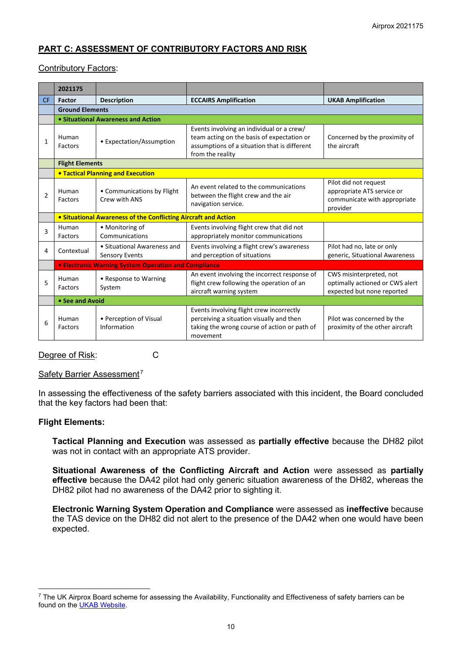# **PART C: ASSESSMENT OF CONTRIBUTORY FACTORS AND RISK**

#### Contributory Factors:

|                | 2021175                                                     |                                                                                                                                                                                           |                                                                                                                                                             |                                                                                                 |  |  |  |  |  |  |
|----------------|-------------------------------------------------------------|-------------------------------------------------------------------------------------------------------------------------------------------------------------------------------------------|-------------------------------------------------------------------------------------------------------------------------------------------------------------|-------------------------------------------------------------------------------------------------|--|--|--|--|--|--|
| <b>CF</b>      | Factor                                                      | <b>Description</b>                                                                                                                                                                        | <b>ECCAIRS Amplification</b>                                                                                                                                | <b>UKAB Amplification</b>                                                                       |  |  |  |  |  |  |
|                | <b>Ground Elements</b>                                      |                                                                                                                                                                                           |                                                                                                                                                             |                                                                                                 |  |  |  |  |  |  |
|                |                                                             | • Situational Awareness and Action                                                                                                                                                        |                                                                                                                                                             |                                                                                                 |  |  |  |  |  |  |
| 1              | Human<br>Factors                                            | • Expectation/Assumption                                                                                                                                                                  | Events involving an individual or a crew/<br>team acting on the basis of expectation or<br>assumptions of a situation that is different<br>from the reality | Concerned by the proximity of<br>the aircraft                                                   |  |  |  |  |  |  |
|                | <b>Flight Elements</b>                                      |                                                                                                                                                                                           |                                                                                                                                                             |                                                                                                 |  |  |  |  |  |  |
|                | <b>.</b> Tactical Planning and Execution                    |                                                                                                                                                                                           |                                                                                                                                                             |                                                                                                 |  |  |  |  |  |  |
| $\overline{2}$ | Human<br>Factors                                            | • Communications by Flight<br>Crew with ANS                                                                                                                                               | An event related to the communications<br>between the flight crew and the air<br>navigation service.                                                        | Pilot did not request<br>appropriate ATS service or<br>communicate with appropriate<br>provider |  |  |  |  |  |  |
|                |                                                             | • Situational Awareness of the Conflicting Aircraft and Action                                                                                                                            |                                                                                                                                                             |                                                                                                 |  |  |  |  |  |  |
| 3              | Human<br>Factors                                            | • Monitoring of<br>Communications                                                                                                                                                         | Events involving flight crew that did not<br>appropriately monitor communications                                                                           |                                                                                                 |  |  |  |  |  |  |
| 4              | Contextual                                                  | • Situational Awareness and<br>Sensory Events                                                                                                                                             | Events involving a flight crew's awareness<br>and perception of situations                                                                                  | Pilot had no, late or only<br>generic, Situational Awareness                                    |  |  |  |  |  |  |
|                | <b>• Electronic Warning System Operation and Compliance</b> |                                                                                                                                                                                           |                                                                                                                                                             |                                                                                                 |  |  |  |  |  |  |
| 5              | Human<br>Factors                                            | • Response to Warning<br>System                                                                                                                                                           | An event involving the incorrect response of<br>flight crew following the operation of an<br>aircraft warning system                                        | CWS misinterpreted, not<br>optimally actioned or CWS alert<br>expected but none reported        |  |  |  |  |  |  |
|                | • See and Avoid                                             |                                                                                                                                                                                           |                                                                                                                                                             |                                                                                                 |  |  |  |  |  |  |
| 6              | Human<br>Factors                                            | Events involving flight crew incorrectly<br>• Perception of Visual<br>perceiving a situation visually and then<br>taking the wrong course of action or path of<br>Information<br>movement |                                                                                                                                                             | Pilot was concerned by the<br>proximity of the other aircraft                                   |  |  |  |  |  |  |

Degree of Risk: C

#### Safety Barrier Assessment<sup>[7](#page-9-0)</sup>

In assessing the effectiveness of the safety barriers associated with this incident, the Board concluded that the key factors had been that:

#### **Flight Elements:**

**Tactical Planning and Execution** was assessed as **partially effective** because the DH82 pilot was not in contact with an appropriate ATS provider.

**Situational Awareness of the Conflicting Aircraft and Action** were assessed as **partially effective** because the DA42 pilot had only generic situation awareness of the DH82, whereas the DH82 pilot had no awareness of the DA42 prior to sighting it.

**Electronic Warning System Operation and Compliance** were assessed as **ineffective** because the TAS device on the DH82 did not alert to the presence of the DA42 when one would have been expected.

<span id="page-9-0"></span> $7$  The UK Airprox Board scheme for assessing the Availability, Functionality and Effectiveness of safety barriers can be found on the **UKAB Website**.